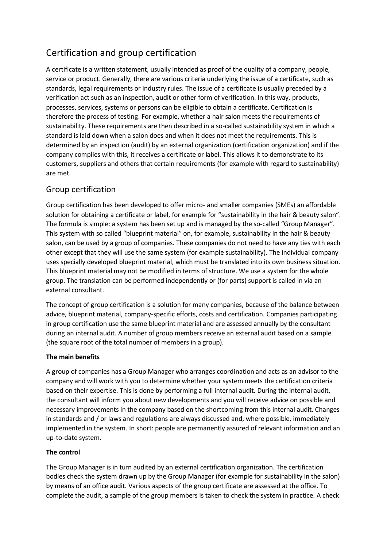## Certification and group certification

A certificate is a written statement, usually intended as proof of the quality of a company, people, service or product. Generally, there are various criteria underlying the issue of a certificate, such as standards, legal requirements or industry rules. The issue of a certificate is usually preceded by a verification act such as an inspection, audit or other form of verification. In this way, products, processes, services, systems or persons can be eligible to obtain a certificate. Certification is therefore the process of testing. For example, whether a hair salon meets the requirements of sustainability. These requirements are then described in a so-called sustainability system in which a standard is laid down when a salon does and when it does not meet the requirements. This is determined by an inspection (audit) by an external organization (certification organization) and if the company complies with this, it receives a certificate or label. This allows it to demonstrate to its customers, suppliers and others that certain requirements (for example with regard to sustainability) are met.

## Group certification

Group certification has been developed to offer micro- and smaller companies (SMEs) an affordable solution for obtaining a certificate or label, for example for "sustainability in the hair & beauty salon". The formula is simple: a system has been set up and is managed by the so-called "Group Manager". This system with so called "blueprint material" on, for example, sustainability in the hair & beauty salon, can be used by a group of companies. These companies do not need to have any ties with each other except that they will use the same system (for example sustainability). The individual company uses specially developed blueprint material, which must be translated into its own business situation. This blueprint material may not be modified in terms of structure. We use a system for the whole group. The translation can be performed independently or (for parts) support is called in via an external consultant.

The concept of group certification is a solution for many companies, because of the balance between advice, blueprint material, company-specific efforts, costs and certification. Companies participating in group certification use the same blueprint material and are assessed annually by the consultant during an internal audit. A number of group members receive an external audit based on a sample (the square root of the total number of members in a group).

## **The main benefits**

A group of companies has a Group Manager who arranges coordination and acts as an advisor to the company and will work with you to determine whether your system meets the certification criteria based on their expertise. This is done by performing a full internal audit. During the internal audit, the consultant will inform you about new developments and you will receive advice on possible and necessary improvements in the company based on the shortcoming from this internal audit. Changes in standards and / or laws and regulations are always discussed and, where possible, immediately implemented in the system. In short: people are permanently assured of relevant information and an up-to-date system.

## **The control**

The Group Manager is in turn audited by an external certification organization. The certification bodies check the system drawn up by the Group Manager (for example for sustainability in the salon) by means of an office audit. Various aspects of the group certificate are assessed at the office. To complete the audit, a sample of the group members is taken to check the system in practice. A check